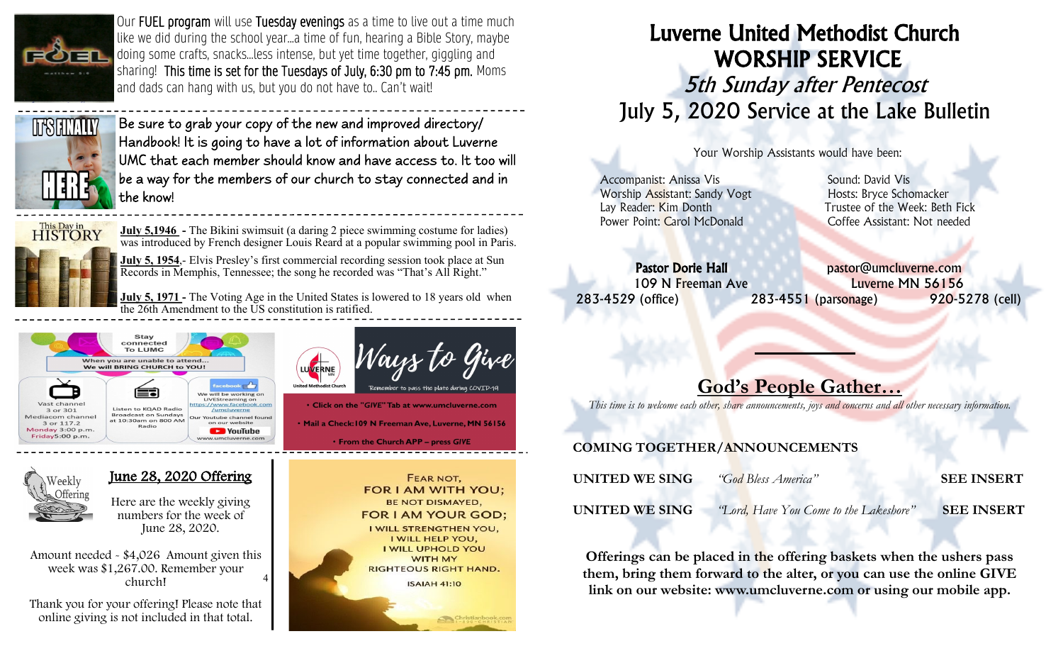

Our FUEL program will use Tuesday evenings as a time to live out a time much like we did during the school year...a time of fun, hearing a Bible Story, maybe doing some crafts, snacks...less intense, but yet time together, giggling and sharing! This time is set for the Tuesdays of July, 6:30 pm to 7:45 pm. Moms and dads can hang with us, but you do not have to.. Can't wait!



Be sure to grab your copy of the new and improved directory/ Handbook! It is going to have a lot of information about Luverne UMC that each member should know and have access to. It too will be a way for the members of our church to stay connected and in the know!



<sup>7</sup>eekly

**July 5,1946 -** The Bikini swimsuit (a daring 2 piece swimming costume for ladies) was introduced by French designer Louis Reard at a popular swimming pool in Paris.

**July 5, 1954.**- Elvis Presley's first commercial recording session took place at Sun Records in Memphis, Tennessee; the song he recorded was "That's All Right."

**July 5, 1971** - The Voting Age in the United States is lowered to 18 years old when the 26th Amendment to the US constitution is ratified.

LUVERNE



June 28, 2020 Offering

Here are the weekly giving numbers for the week of June 28, 2020.

4 Amount needed - \$4,026 Amount given this week was \$1,267.00. Remember your church!

Thank you for your offering! Please note that online giving is not included in that total.



Ways to

. Click on the "GIVE" Tab at www.umcluverne.com

· Mail a Check:109 N Freeman Ave, Luverne, MN 56156

# Luverne United Methodist Church WORSHIP SERVICE 5th Sunday after Pentecost July 5, 2020 Service at the Lake Bulletin

Your Worship Assistants would have been:

Accompanist: Anissa Vis **Sound: David Vis** Sound: David Vis Worship Assistant: Sandy Vogt Hosts: Bryce Schomacker Power Point: Carol McDonald Coffee Assistant: Not needed

Lay Reader: Kim Donth Trustee of the Week: Beth Fick

Pastor Dorie Hall **Pastor** pastor@umcluverne.com 109 N Freeman Ave Luverne MN 56156 283-4529 (office) 283-4551 (parsonage) 920-5278 (cell)

## God's People Gather…

L

*This time is to welcome each other, share announcements, joys and concerns and all other necessary information.*

### COMING TOGETHER/ANNOUNCEMENTS

| UNITED WE SING | "God Bless America"                    | <b>SEE INSERT</b> |
|----------------|----------------------------------------|-------------------|
| UNITED WE SING | "Lord, Have You Come to the Lakeshore" | <b>SEE INSERT</b> |

Offerings can be placed in the offering baskets when the ushers pass them, bring them forward to the alter, or you can use the online GIVE link on our website: www.umcluverne.com or using our mobile app.